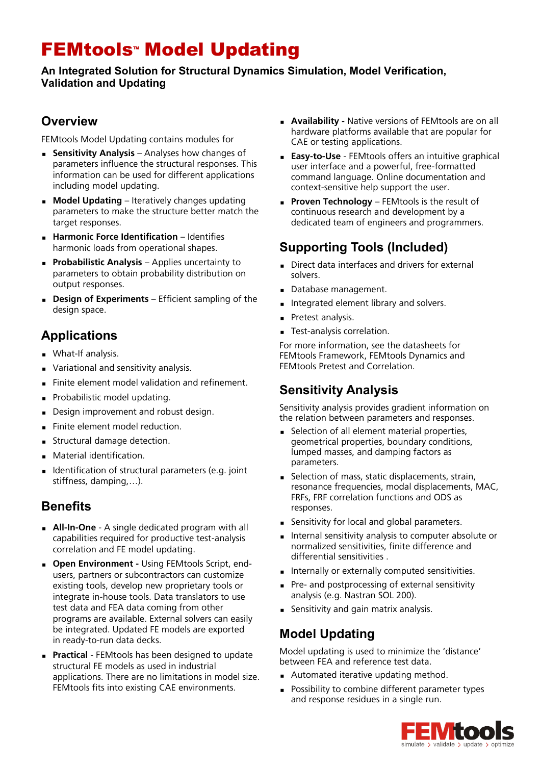# **FEMtools<sup>\*</sup> Model Updating**

#### **An Integrated Solution for Structural Dynamics Simulation, Model Verification, Validation and Updating**

#### **Overview**

FEMtools Model Updating contains modules for

- **Sensitivity Analysis** Analyses how changes of parameters influence the structural responses. This information can be used for different applications including model updating.
- **Model Updating** Iteratively changes updating parameters to make the structure better match the target responses.
- **Harmonic Force Identification**  Identifies harmonic loads from operational shapes.
- **Probabilistic Analysis** Applies uncertainty to parameters to obtain probability distribution on output responses.
- **Design of Experiments**  Efficient sampling of the design space.

# **Applications**

- **Nhat-If analysis.**
- Variational and sensitivity analysis.
- Finite element model validation and refinement.
- Probabilistic model updating.
- Design improvement and robust design.
- Finite element model reduction.
- **Structural damage detection.**
- Material identification.
- Identification of structural parameters (e.g. joint stiffness, damping,…).

#### **Benefits**

- **All-In-One**  A single dedicated program with all capabilities required for productive test-analysis correlation and FE model updating.
- **Dpen Environment Using FEMtools Script, end**users, partners or subcontractors can customize existing tools, develop new proprietary tools or integrate in-house tools. Data translators to use test data and FEA data coming from other programs are available. External solvers can easily be integrated. Updated FE models are exported in ready-to-run data decks.
- **Practical**  FEMtools has been designed to update structural FE models as used in industrial applications. There are no limitations in model size. FEMtools fits into existing CAE environments.
- **Availability -** Native versions of FEMtools are on all hardware platforms available that are popular for CAE or testing applications.
- **Easy-to-Use**  FEMtools offers an intuitive graphical user interface and a powerful, free-formatted command language. Online documentation and context-sensitive help support the user.
- **Proven Technology** FEMtools is the result of continuous research and development by a dedicated team of engineers and programmers.

# **Supporting Tools (Included)**

- Direct data interfaces and drivers for external solvers.
- Database management.
- Integrated element library and solvers.
- Pretest analysis.
- **Test-analysis correlation.**

For more information, see the datasheets for FEMtools Framework, FEMtools Dynamics and FEMtools Pretest and Correlation.

#### **Sensitivity Analysis**

Sensitivity analysis provides gradient information on the relation between parameters and responses.

- Selection of all element material properties, geometrical properties, boundary conditions, lumped masses, and damping factors as parameters.
- Selection of mass, static displacements, strain, resonance frequencies, modal displacements, MAC, FRFs, FRF correlation functions and ODS as responses.
- Sensitivity for local and global parameters.
- **Internal sensitivity analysis to computer absolute or** normalized sensitivities, finite difference and differential sensitivities .
- Internally or externally computed sensitivities.
- Pre- and postprocessing of external sensitivity analysis (e.g. Nastran SOL 200).
- **Sensitivity and gain matrix analysis.**

### **Model Updating**

Model updating is used to minimize the 'distance' between FEA and reference test data.

- **Automated iterative updating method.**
- **Possibility to combine different parameter types** and response residues in a single run.